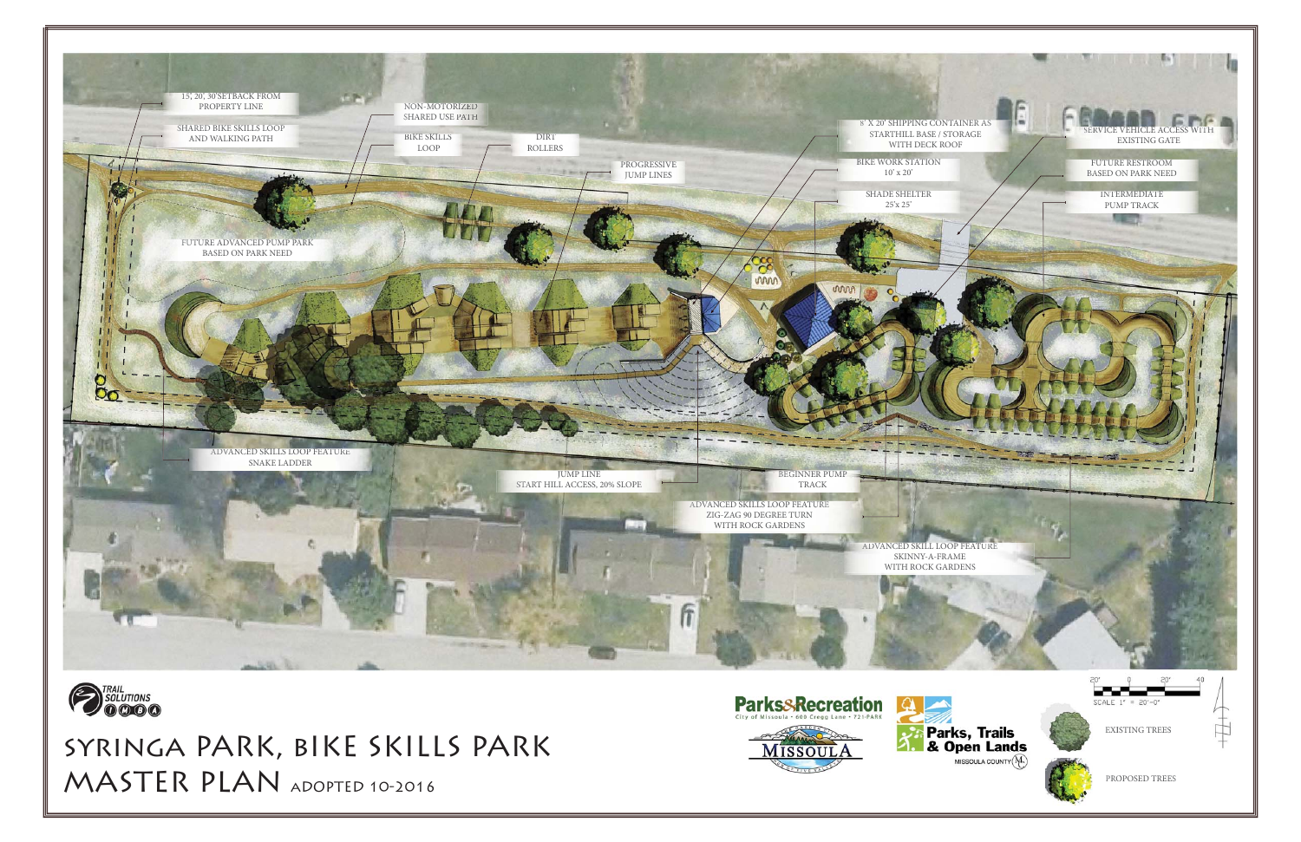





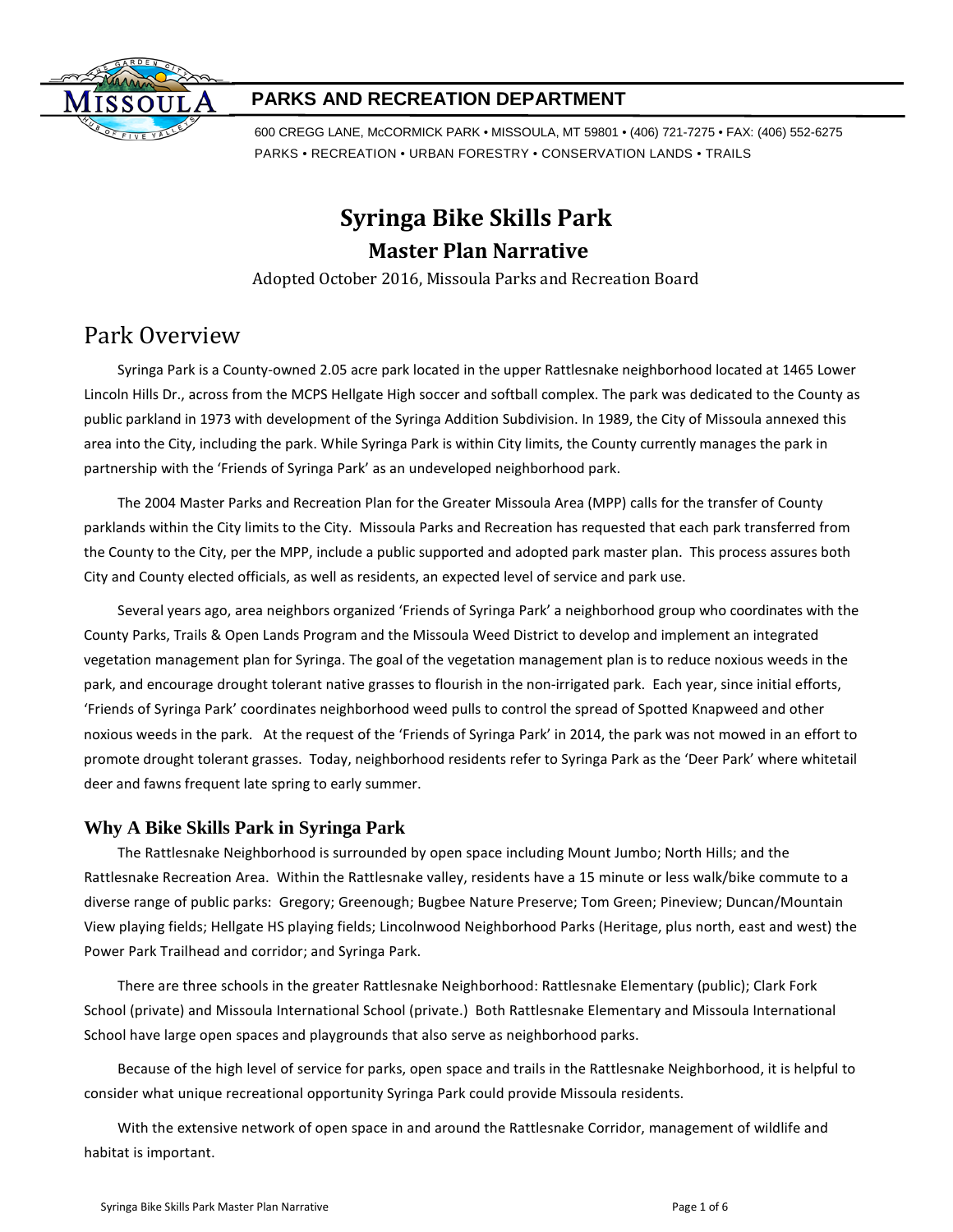

### **PARKS AND RECREATION DEPARTMENT**

600 CREGG LANE, McCORMICK PARK • MISSOULA, MT 59801 • (406) 721-7275 • FAX: (406) 552-6275 PARKS • RECREATION • URBAN FORESTRY • CONSERVATION LANDS • TRAILS

# **Syringa Bike Skills Park Master Plan Narrative**

Adopted October 2016, Missoula Parks and Recreation Board

# Park Overview

Syringa Park is a County-owned 2.05 acre park located in the upper Rattlesnake neighborhood located at 1465 Lower Lincoln Hills Dr., across from the MCPS Hellgate High soccer and softball complex. The park was dedicated to the County as public parkland in 1973 with development of the Syringa Addition Subdivision. In 1989, the City of Missoula annexed this area into the City, including the park. While Syringa Park is within City limits, the County currently manages the park in partnership with the 'Friends of Syringa Park' as an undeveloped neighborhood park.

The 2004 Master Parks and Recreation Plan for the Greater Missoula Area (MPP) calls for the transfer of County parklands within the City limits to the City. Missoula Parks and Recreation has requested that each park transferred from the County to the City, per the MPP, include a public supported and adopted park master plan. This process assures both City and County elected officials, as well as residents, an expected level of service and park use.

Several years ago, area neighbors organized 'Friends of Syringa Park' a neighborhood group who coordinates with the County Parks, Trails & Open Lands Program and the Missoula Weed District to develop and implement an integrated vegetation management plan for Syringa. The goal of the vegetation management plan is to reduce noxious weeds in the park, and encourage drought tolerant native grasses to flourish in the non-irrigated park. Each year, since initial efforts, 'Friends of Syringa Park' coordinates neighborhood weed pulls to control the spread of Spotted Knapweed and other noxious weeds in the park. At the request of the 'Friends of Syringa Park' in 2014, the park was not mowed in an effort to promote drought tolerant grasses. Today, neighborhood residents refer to Syringa Park as the 'Deer Park' where whitetail deer and fawns frequent late spring to early summer.

### **Why A Bike Skills Park in Syringa Park**

The Rattlesnake Neighborhood is surrounded by open space including Mount Jumbo; North Hills; and the Rattlesnake Recreation Area. Within the Rattlesnake valley, residents have a 15 minute or less walk/bike commute to a diverse range of public parks: Gregory; Greenough; Bugbee Nature Preserve; Tom Green; Pineview; Duncan/Mountain View playing fields; Hellgate HS playing fields; Lincolnwood Neighborhood Parks (Heritage, plus north, east and west) the Power Park Trailhead and corridor; and Syringa Park.

There are three schools in the greater Rattlesnake Neighborhood: Rattlesnake Elementary (public); Clark Fork School (private) and Missoula International School (private.) Both Rattlesnake Elementary and Missoula International School have large open spaces and playgrounds that also serve as neighborhood parks.

Because of the high level of service for parks, open space and trails in the Rattlesnake Neighborhood, it is helpful to consider what unique recreational opportunity Syringa Park could provide Missoula residents.

With the extensive network of open space in and around the Rattlesnake Corridor, management of wildlife and habitat is important.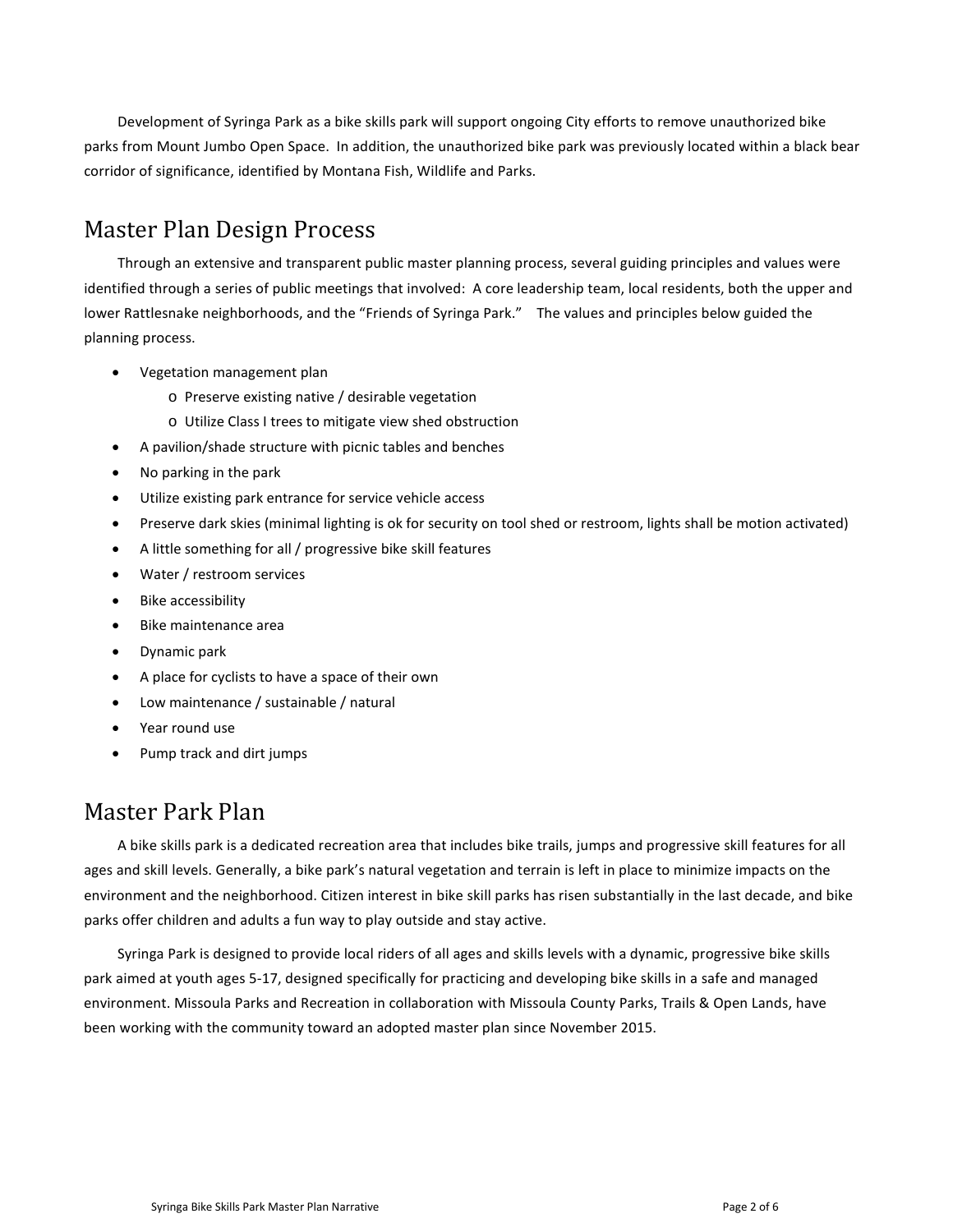Development of Syringa Park as a bike skills park will support ongoing City efforts to remove unauthorized bike parks from Mount Jumbo Open Space. In addition, the unauthorized bike park was previously located within a black bear corridor of significance, identified by Montana Fish, Wildlife and Parks.

# Master Plan Design Process

Through an extensive and transparent public master planning process, several guiding principles and values were identified through a series of public meetings that involved: A core leadership team, local residents, both the upper and lower Rattlesnake neighborhoods, and the "Friends of Syringa Park." The values and principles below guided the planning process.

- Vegetation management plan
	- o Preserve existing native / desirable vegetation
	- o Utilize Class I trees to mitigate view shed obstruction
- A pavilion/shade structure with picnic tables and benches
- No parking in the park
- Utilize existing park entrance for service vehicle access
- Preserve dark skies (minimal lighting is ok for security on tool shed or restroom, lights shall be motion activated)
- A little something for all / progressive bike skill features
- Water / restroom services
- Bike accessibility
- Bike maintenance area
- Dynamic park
- A place for cyclists to have a space of their own
- Low maintenance / sustainable / natural
- Year round use
- Pump track and dirt jumps

## Master Park Plan

A bike skills park is a dedicated recreation area that includes bike trails, jumps and progressive skill features for all ages and skill levels. Generally, a bike park's natural vegetation and terrain is left in place to minimize impacts on the environment and the neighborhood. Citizen interest in bike skill parks has risen substantially in the last decade, and bike parks offer children and adults a fun way to play outside and stay active.

Syringa Park is designed to provide local riders of all ages and skills levels with a dynamic, progressive bike skills park aimed at youth ages 5-17, designed specifically for practicing and developing bike skills in a safe and managed environment. Missoula Parks and Recreation in collaboration with Missoula County Parks, Trails & Open Lands, have been working with the community toward an adopted master plan since November 2015.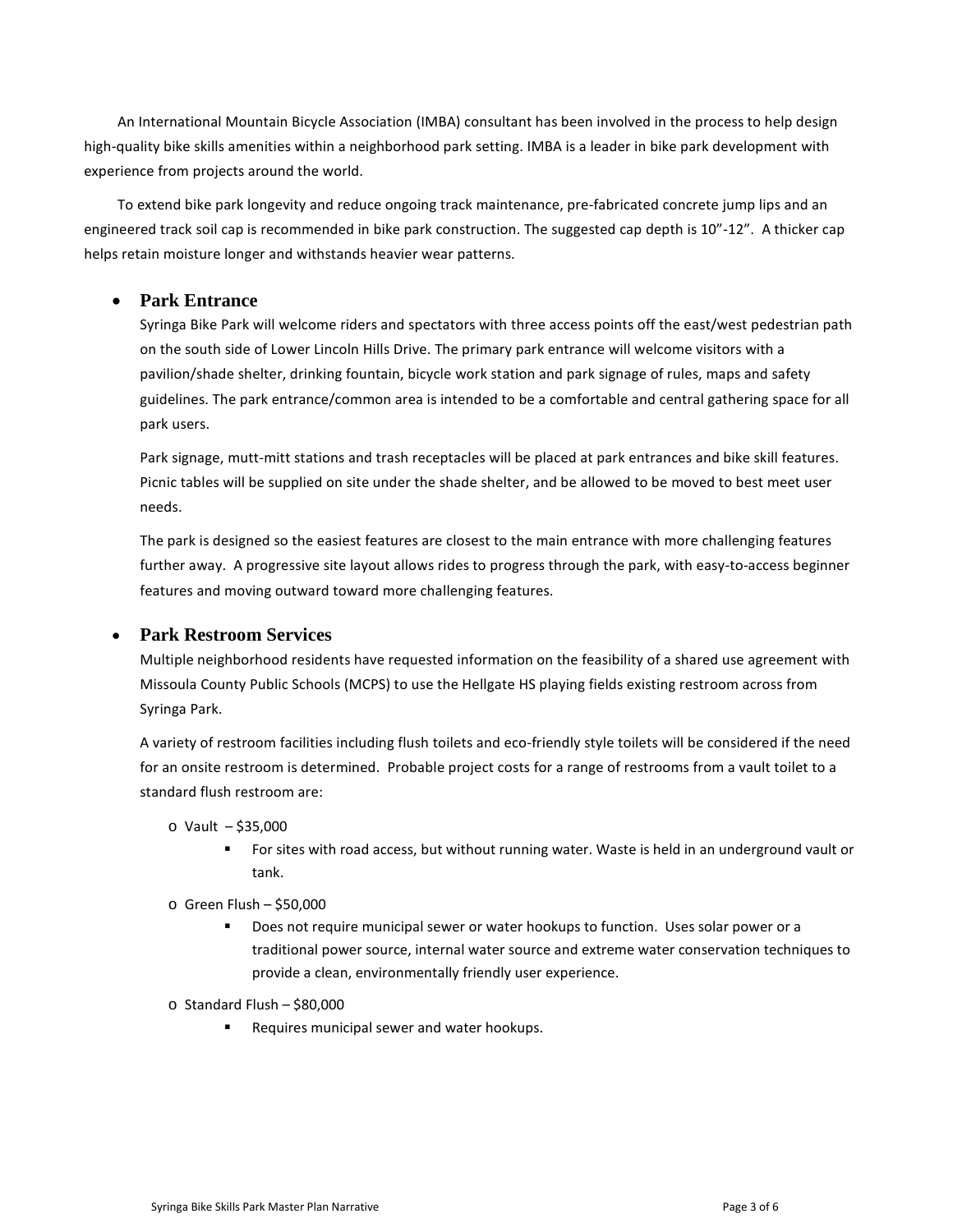An International Mountain Bicycle Association (IMBA) consultant has been involved in the process to help design high-quality bike skills amenities within a neighborhood park setting. IMBA is a leader in bike park development with experience from projects around the world.

To extend bike park longevity and reduce ongoing track maintenance, pre-fabricated concrete jump lips and an engineered track soil cap is recommended in bike park construction. The suggested cap depth is 10"-12". A thicker cap helps retain moisture longer and withstands heavier wear patterns.

#### • **Park Entrance**

Syringa Bike Park will welcome riders and spectators with three access points off the east/west pedestrian path on the south side of Lower Lincoln Hills Drive. The primary park entrance will welcome visitors with a pavilion/shade shelter, drinking fountain, bicycle work station and park signage of rules, maps and safety guidelines. The park entrance/common area is intended to be a comfortable and central gathering space for all park users.

Park signage, mutt-mitt stations and trash receptacles will be placed at park entrances and bike skill features. Picnic tables will be supplied on site under the shade shelter, and be allowed to be moved to best meet user needs.

The park is designed so the easiest features are closest to the main entrance with more challenging features further away. A progressive site layout allows rides to progress through the park, with easy-to-access beginner features and moving outward toward more challenging features.

#### • **Park Restroom Services**

Multiple neighborhood residents have requested information on the feasibility of a shared use agreement with Missoula County Public Schools (MCPS) to use the Hellgate HS playing fields existing restroom across from Syringa Park.

A variety of restroom facilities including flush toilets and eco-friendly style toilets will be considered if the need for an onsite restroom is determined. Probable project costs for a range of restrooms from a vault toilet to a standard flush restroom are:

- o Vault \$35,000
	- For sites with road access, but without running water. Waste is held in an underground vault or tank.
- o Green Flush \$50,000
	- Does not require municipal sewer or water hookups to function. Uses solar power or a traditional power source, internal water source and extreme water conservation techniques to provide a clean, environmentally friendly user experience.
- $\circ$  Standard Flush \$80,000
	- Requires municipal sewer and water hookups.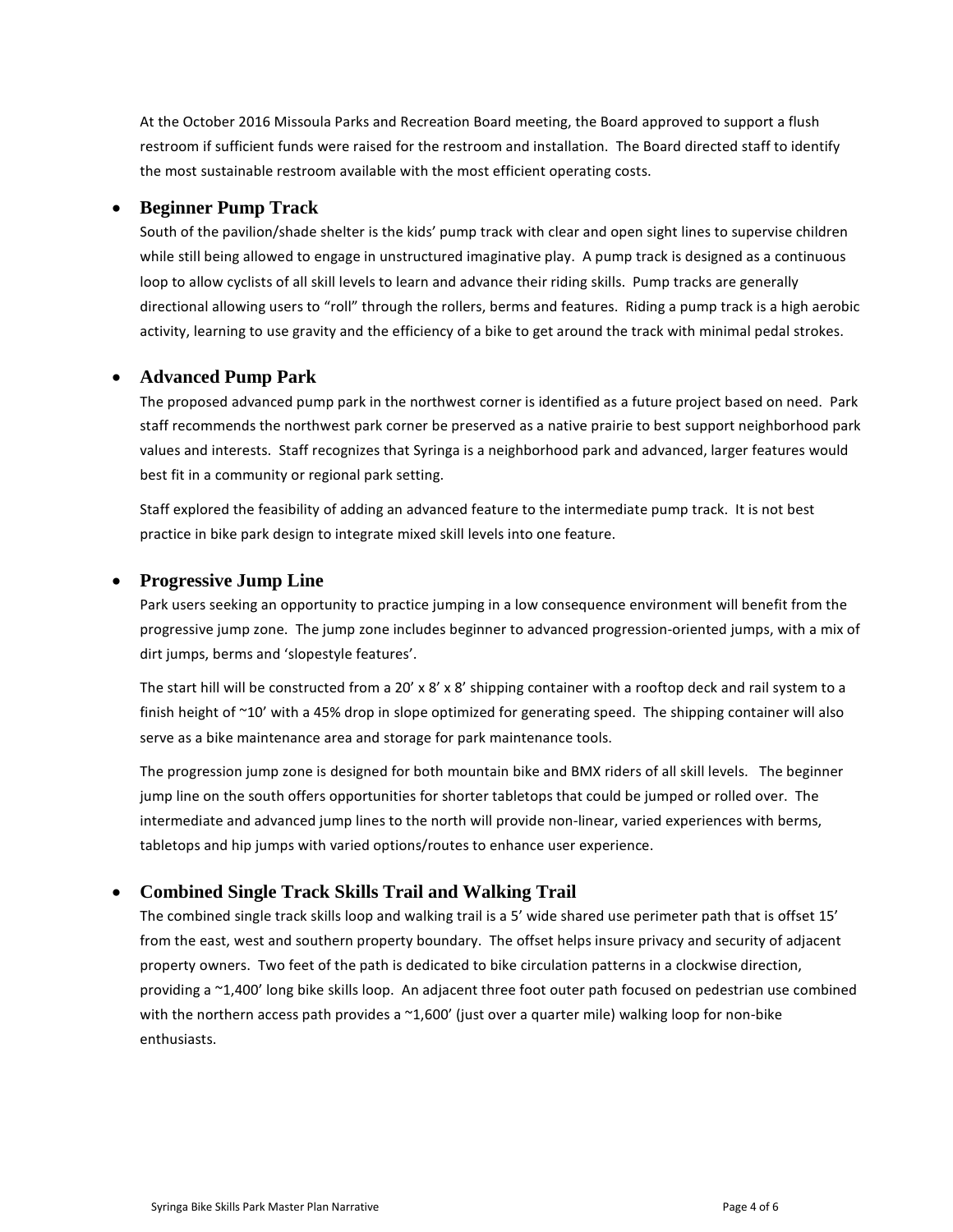At the October 2016 Missoula Parks and Recreation Board meeting, the Board approved to support a flush restroom if sufficient funds were raised for the restroom and installation. The Board directed staff to identify the most sustainable restroom available with the most efficient operating costs.

#### • **Beginner Pump Track**

South of the pavilion/shade shelter is the kids' pump track with clear and open sight lines to supervise children while still being allowed to engage in unstructured imaginative play. A pump track is designed as a continuous loop to allow cyclists of all skill levels to learn and advance their riding skills. Pump tracks are generally directional allowing users to "roll" through the rollers, berms and features. Riding a pump track is a high aerobic activity, learning to use gravity and the efficiency of a bike to get around the track with minimal pedal strokes.

#### • **Advanced Pump Park**

The proposed advanced pump park in the northwest corner is identified as a future project based on need. Park staff recommends the northwest park corner be preserved as a native prairie to best support neighborhood park values and interests. Staff recognizes that Syringa is a neighborhood park and advanced, larger features would best fit in a community or regional park setting.

Staff explored the feasibility of adding an advanced feature to the intermediate pump track. It is not best practice in bike park design to integrate mixed skill levels into one feature.

#### • **Progressive Jump Line**

Park users seeking an opportunity to practice jumping in a low consequence environment will benefit from the progressive jump zone. The jump zone includes beginner to advanced progression-oriented jumps, with a mix of dirt jumps, berms and 'slopestyle features'.

The start hill will be constructed from a 20' x 8' x 8' shipping container with a rooftop deck and rail system to a finish height of ~10' with a 45% drop in slope optimized for generating speed. The shipping container will also serve as a bike maintenance area and storage for park maintenance tools.

The progression jump zone is designed for both mountain bike and BMX riders of all skill levels. The beginner jump line on the south offers opportunities for shorter tabletops that could be jumped or rolled over. The intermediate and advanced jump lines to the north will provide non-linear, varied experiences with berms, tabletops and hip jumps with varied options/routes to enhance user experience.

### • **Combined Single Track Skills Trail and Walking Trail**

The combined single track skills loop and walking trail is a 5' wide shared use perimeter path that is offset 15' from the east, west and southern property boundary. The offset helps insure privacy and security of adjacent property owners. Two feet of the path is dedicated to bike circulation patterns in a clockwise direction, providing a ~1,400' long bike skills loop. An adjacent three foot outer path focused on pedestrian use combined with the northern access path provides a ~1,600' (just over a quarter mile) walking loop for non-bike enthusiasts.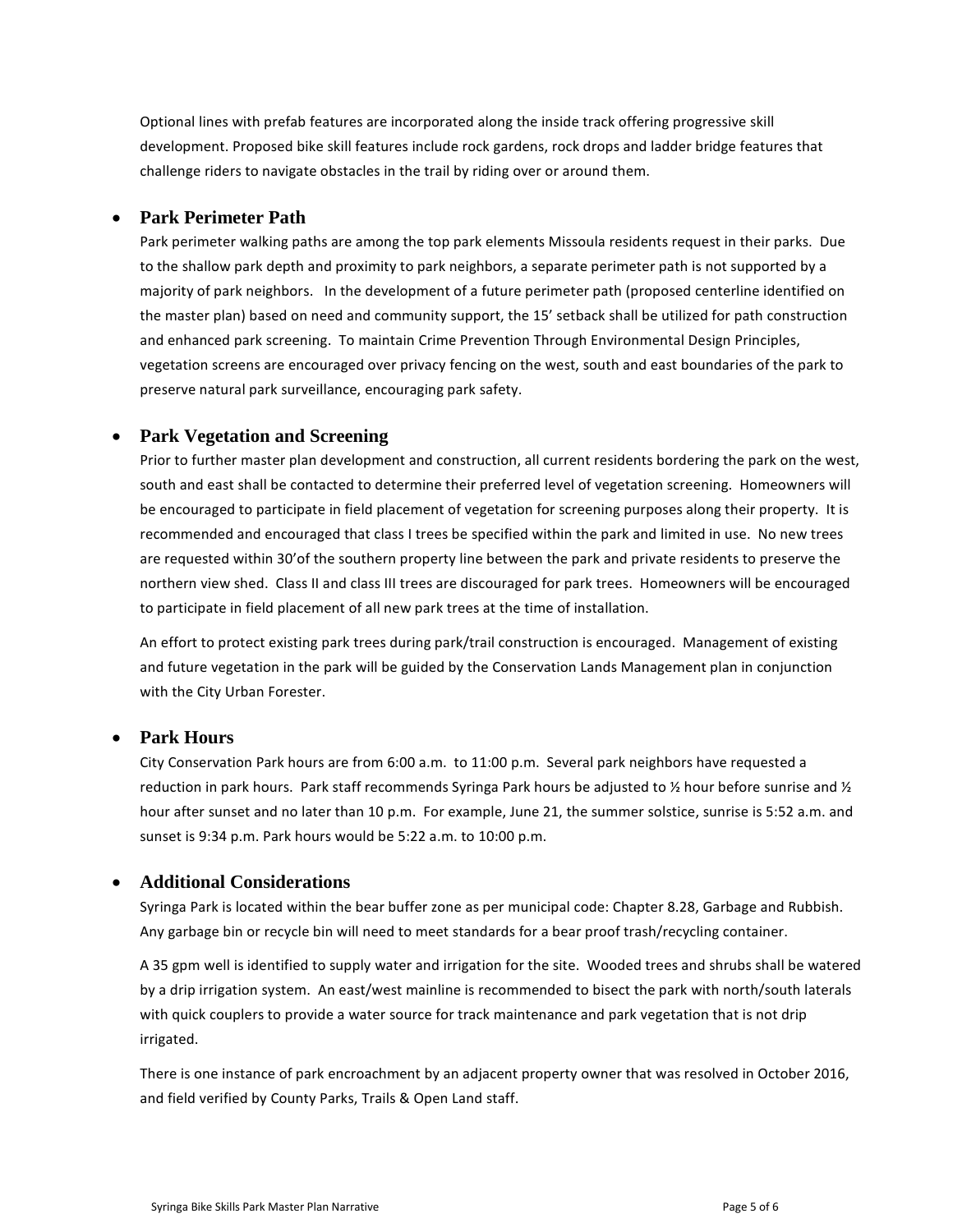Optional lines with prefab features are incorporated along the inside track offering progressive skill development. Proposed bike skill features include rock gardens, rock drops and ladder bridge features that challenge riders to navigate obstacles in the trail by riding over or around them.

### • **Park Perimeter Path**

Park perimeter walking paths are among the top park elements Missoula residents request in their parks. Due to the shallow park depth and proximity to park neighbors, a separate perimeter path is not supported by a majority of park neighbors. In the development of a future perimeter path (proposed centerline identified on the master plan) based on need and community support, the 15' setback shall be utilized for path construction and enhanced park screening. To maintain Crime Prevention Through Environmental Design Principles, vegetation screens are encouraged over privacy fencing on the west, south and east boundaries of the park to preserve natural park surveillance, encouraging park safety.

### • **Park Vegetation and Screening**

Prior to further master plan development and construction, all current residents bordering the park on the west, south and east shall be contacted to determine their preferred level of vegetation screening. Homeowners will be encouraged to participate in field placement of vegetation for screening purposes along their property. It is recommended and encouraged that class I trees be specified within the park and limited in use. No new trees are requested within 30'of the southern property line between the park and private residents to preserve the northern view shed. Class II and class III trees are discouraged for park trees. Homeowners will be encouraged to participate in field placement of all new park trees at the time of installation.

An effort to protect existing park trees during park/trail construction is encouraged. Management of existing and future vegetation in the park will be guided by the Conservation Lands Management plan in conjunction with the City Urban Forester.

#### • **Park Hours**

City Conservation Park hours are from 6:00 a.m. to 11:00 p.m. Several park neighbors have requested a reduction in park hours. Park staff recommends Syringa Park hours be adjusted to  $\frac{1}{2}$  hour before sunrise and  $\frac{1}{2}$ hour after sunset and no later than 10 p.m. For example, June 21, the summer solstice, sunrise is 5:52 a.m. and sunset is 9:34 p.m. Park hours would be 5:22 a.m. to 10:00 p.m.

### • **Additional Considerations**

Syringa Park is located within the bear buffer zone as per municipal code: Chapter 8.28, Garbage and Rubbish. Any garbage bin or recycle bin will need to meet standards for a bear proof trash/recycling container.

A 35 gpm well is identified to supply water and irrigation for the site. Wooded trees and shrubs shall be watered by a drip irrigation system. An east/west mainline is recommended to bisect the park with north/south laterals with quick couplers to provide a water source for track maintenance and park vegetation that is not drip irrigated.

There is one instance of park encroachment by an adjacent property owner that was resolved in October 2016, and field verified by County Parks, Trails & Open Land staff.